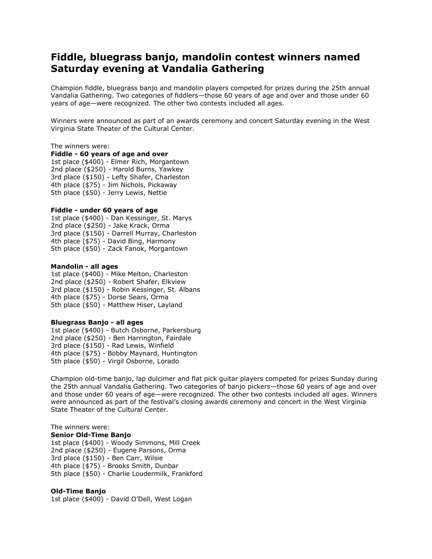# **Fiddle, bluegrass banjo, mandolin contest winners named Saturday evening at Vandalia Gathering**

Champion fiddle, bluegrass banjo and mandolin players competed for prizes during the 25th annual Vandalia Gathering. Two categories of fiddlers—those 60 years of age and over and those under 60 years of age—were recognized. The other two contests included all ages.

Winners were announced as part of an awards ceremony and concert Saturday evening in the West Virginia State Theater of the Cultural Center.

#### The winners were:

## **Fiddle - 60 years of age and over**

1st place (\$400) - Elmer Rich, Morgantown 2nd place (\$250) - Harold Burns, Yawkey 3rd place (\$150) - Lefty Shafer, Charleston 4th place (\$75) - Jim Nichols, Pickaway 5th place (\$50) - Jerry Lewis, Nettie

### **Fiddle - under 60 years of age**

1st place (\$400) - Dan Kessinger, St. Marys 2nd place (\$250) - Jake Krack, Orma 3rd place (\$150) - Darrell Murray, Charleston 4th place (\$75) - David Bing, Harmony 5th place (\$50) - Zack Fanok, Morgantown

#### **Mandolin - all ages**

1st place (\$400) - Mike Melton, Charleston 2nd place (\$250) - Robert Shafer, Elkview 3rd place (\$150) - Robin Kessinger, St. Albans 4th place (\$75) - Dorse Sears, Orma 5th place (\$50) - Matthew Hiser, Layland

#### **Bluegrass Banjo - all ages**

1st place (\$400) - Butch Osborne, Parkersburg 2nd place (\$250) - Ben Harrington, Fairdale 3rd place (\$150) - Rad Lewis, Winfield 4th place (\$75) - Bobby Maynard, Huntington 5th place (\$50) - Virgil Osborne, Lorado

Champion old-time banjo, lap dulcimer and flat pick guitar players competed for prizes Sunday during the 25th annual Vandalia Gathering. Two categories of banjo pickers—those 60 years of age and over and those under 60 years of age—were recognized. The other two contests included all ages. Winners were announced as part of the festival's closing awards ceremony and concert in the West Virginia State Theater of the Cultural Center.

## The winners were: **Senior Old-Time Banjo**

1st place (\$400) - Woody Simmons, Mill Creek 2nd place (\$250) - Eugene Parsons, Orma 3rd place (\$150) - Ben Carr, Wilsie 4th place (\$75) - Brooks Smith, Dunbar 5th place (\$50) - Charlie Loudermilk, Frankford

## **Old-Time Banjo**

1st place (\$400) - David O'Dell, West Logan